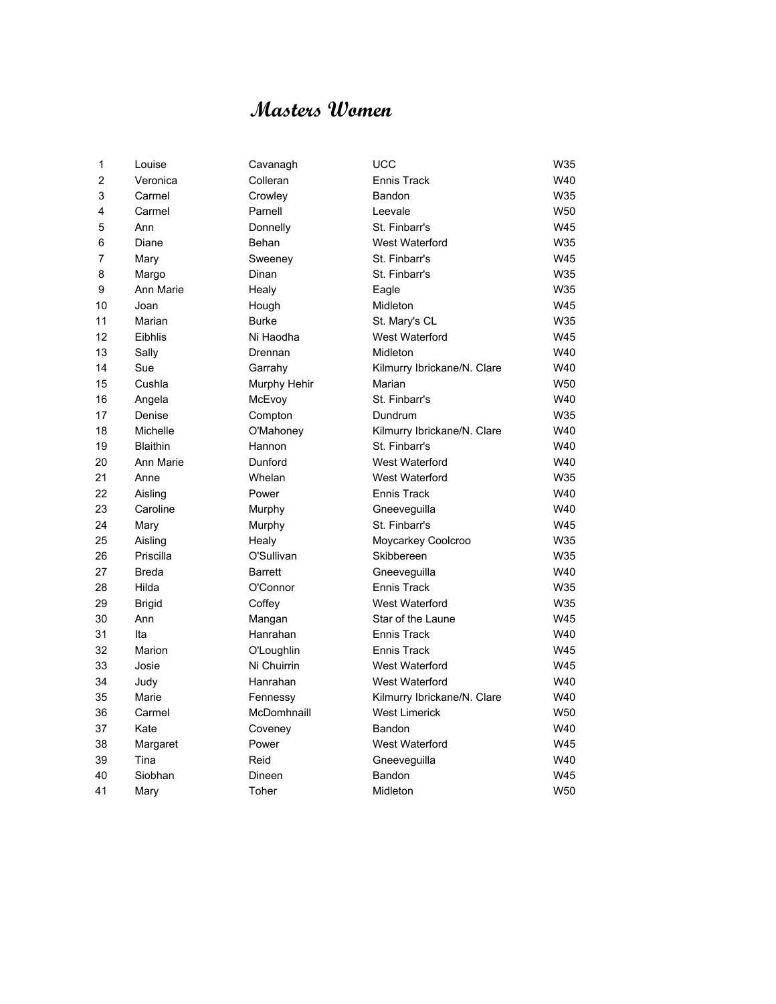# **Masters Women**

| 1  | Louise          | Cavanagh       | <b>UCC</b>                  | W35 |
|----|-----------------|----------------|-----------------------------|-----|
| 2  | Veronica        | Colleran       | <b>Ennis Track</b>          | W40 |
| 3  | Carmel          | Crowley        | Bandon                      | W35 |
| 4  | Carmel          | Parnell        | Leevale                     | W50 |
| 5  | Ann             | Donnelly       | St. Finbarr's               | W45 |
| 6  | Diane           | Behan          | <b>West Waterford</b>       | W35 |
| 7  | Mary            | Sweeney        | St. Finbarr's               | W45 |
| 8  | Margo           | Dinan          | St. Finbarr's               | W35 |
| 9  | Ann Marie       | Healy          | Eagle                       | W35 |
| 10 | Joan            | Hough          | Midleton                    | W45 |
| 11 | Marian          | <b>Burke</b>   | St. Mary's CL               | W35 |
| 12 | Eibhlis         | Ni Haodha      | West Waterford              | W45 |
| 13 | Sally           | Drennan        | Midleton                    | W40 |
| 14 | Sue             | Garrahy        | Kilmurry Ibrickane/N. Clare | W40 |
| 15 | Cushla          | Murphy Hehir   | Marian                      | W50 |
| 16 | Angela          | McEvoy         | St. Finbarr's               | W40 |
| 17 | Denise          | Compton        | Dundrum                     | W35 |
| 18 | Michelle        | O'Mahoney      | Kilmurry Ibrickane/N. Clare | W40 |
| 19 | <b>Blaithin</b> | Hannon         | St. Finbarr's               | W40 |
| 20 | Ann Marie       | Dunford        | West Waterford              | W40 |
| 21 | Anne            | Whelan         | West Waterford              | W35 |
| 22 | Aisling         | Power          | Ennis Track                 | W40 |
| 23 | Caroline        | Murphy         | Gneeveguilla                | W40 |
| 24 | Mary            | Murphy         | St. Finbarr's               | W45 |
| 25 | Aisling         | Healy          | Moycarkey Coolcroo          | W35 |
| 26 | Priscilla       | O'Sullivan     | Skibbereen                  | W35 |
| 27 | <b>Breda</b>    | <b>Barrett</b> | Gneeveguilla                | W40 |
| 28 | Hilda           | O'Connor       | <b>Ennis Track</b>          | W35 |
| 29 | <b>Brigid</b>   | Coffey         | West Waterford              | W35 |
| 30 | Ann             | Mangan         | Star of the Laune           | W45 |
| 31 | Ita             | Hanrahan       | <b>Ennis Track</b>          | W40 |
| 32 | Marion          | O'Loughlin     | <b>Ennis Track</b>          | W45 |
| 33 | Josie           | Ni Chuirrin    | West Waterford              | W45 |
| 34 | Judy            | Hanrahan       | West Waterford              | W40 |
| 35 | Marie           | Fennessy       | Kilmurry Ibrickane/N. Clare | W40 |
| 36 | Carmel          | McDomhnaill    | <b>West Limerick</b>        | W50 |
| 37 | Kate            | Coveney        | Bandon                      | W40 |
| 38 | Margaret        | Power          | <b>West Waterford</b>       | W45 |
| 39 | Tina            | Reid           | Gneeveguilla                | W40 |
| 40 | Siobhan         | Dineen         | Bandon                      | W45 |
| 41 | Mary            | Toher          | Midleton                    | W50 |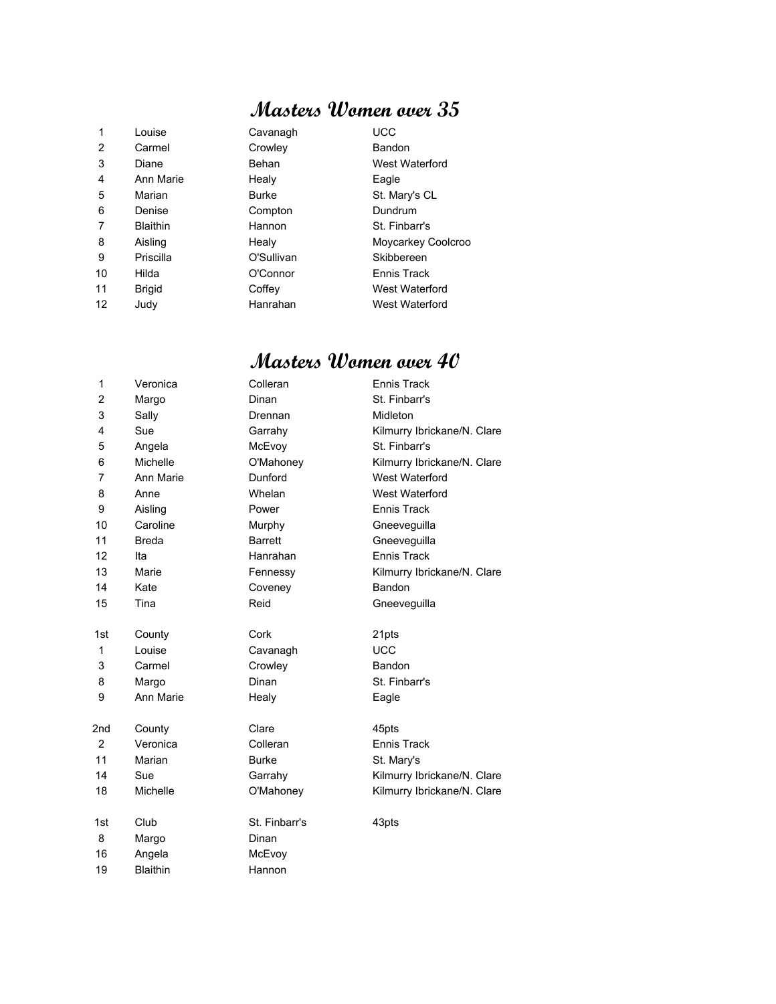### **Masters Women over 35**

| 1  | Louise          | Cavanagh     | <b>UCC</b>         |
|----|-----------------|--------------|--------------------|
| 2  | Carmel          | Crowley      | Bandon             |
| 3  | Diane           | Behan        | West Waterford     |
| 4  | Ann Marie       | Healy        | Eagle              |
| 5  | Marian          | <b>Burke</b> | St. Mary's CL      |
| 6  | Denise          | Compton      | Dundrum            |
| 7  | <b>Blaithin</b> | Hannon       | St. Finbarr's      |
| 8  | Aisling         | Healy        | Moycarkey Coolcroo |
| 9  | Priscilla       | O'Sullivan   | Skibbereen         |
| 10 | Hilda           | O'Connor     | Ennis Track        |
| 11 | <b>Brigid</b>   | Coffey       | West Waterford     |
| 12 | Judy            | Hanrahan     | West Waterford     |

#### **Masters Women over 40**

| 1              | Veronica        | Colleran       | Ennis Track                 |
|----------------|-----------------|----------------|-----------------------------|
| $\overline{2}$ | Margo           | Dinan          | St. Finbarr's               |
| 3              | Sally           | Drennan        | Midleton                    |
| 4              | Sue             | Garrahy        | Kilmurry Ibrickane/N. Clare |
| 5              | Angela          | McEvoy         | St. Finbarr's               |
| 6              | Michelle        | O'Mahoney      | Kilmurry Ibrickane/N. Clare |
| 7              | Ann Marie       | Dunford        | West Waterford              |
| 8              | Anne            | Whelan         | West Waterford              |
| 9              | Aisling         | Power          | <b>Ennis Track</b>          |
| 10             | Caroline        | Murphy         | Gneeveguilla                |
| 11             | <b>Breda</b>    | <b>Barrett</b> | Gneeveguilla                |
| 12             | Ita             | Hanrahan       | <b>Ennis Track</b>          |
| 13             | Marie           | Fennessy       | Kilmurry Ibrickane/N. Clare |
| 14             | Kate            | Coveney        | Bandon                      |
| 15             | Tina            | Reid           | Gneeveguilla                |
|                |                 |                |                             |
| 1st            | County          | Cork           | 21pts                       |
| 1              | Louise          | Cavanagh       | <b>UCC</b>                  |
| 3              | Carmel          | Crowley        | Bandon                      |
| 8              | Margo           | Dinan          | St. Finbarr's               |
| 9              | Ann Marie       | Healy          | Eagle                       |
|                |                 |                |                             |
| 2nd            | County          | Clare          | 45pts                       |
| 2              | Veronica        | Colleran       | <b>Ennis Track</b>          |
| 11             | Marian          | <b>Burke</b>   | St. Mary's                  |
| 14             | Sue             | Garrahy        | Kilmurry Ibrickane/N. Clare |
| 18             | Michelle        | O'Mahoney      | Kilmurry Ibrickane/N. Clare |
|                |                 |                |                             |
| 1st            | Club            | St. Finbarr's  | 43pts                       |
| 8              | Margo           | Dinan          |                             |
| 16             | Angela          | McEvoy         |                             |
| 19             | <b>Blaithin</b> | Hannon         |                             |
|                |                 |                |                             |